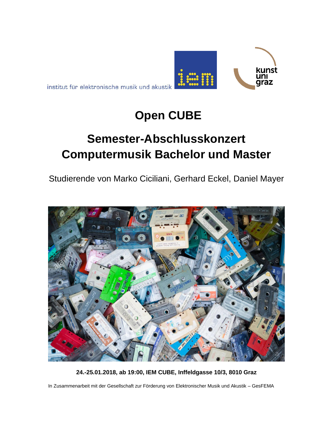

# **Open CUBE**

1000

kunst

araz

# **Semester-Abschlusskonzert Computermusik Bachelor und Master**

Studierende von Marko Ciciliani, Gerhard Eckel, Daniel Mayer



**24.-25.01.2018, ab 19:00, IEM CUBE, Inffeldgasse 10/3, 8010 Graz**

In Zusammenarbeit mit der Gesellschaft zur Förderung von Elektronischer Musik und Akustik – GesFEMA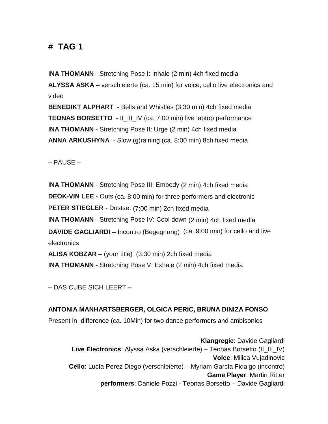### **# TAG 1**

**INA THOMANN** - Stretching Pose I: Inhale (2 min) 4ch fixed media **ALYSSA ASKA** – verschleierte (ca. 15 min) for voice, cello live electronics and video

**BENEDIKT ALPHART** - Bells and Whistles (3:30 min) 4ch fixed media **TEONAS BORSETTO** - II\_III\_IV (ca. 7:00 min) live laptop performance **INA THOMANN** - Stretching Pose II: Urge (2 min) 4ch fixed media **ANNA ARKUSHYNA** - Slow (g)raining (ca. 8:00 min) 8ch fixed media

– PAUSE –

**INA THOMANN** - Stretching Pose III: Embody (2 min) 4ch fixed media **DEOK-VIN LEE** - Outs (ca. 8:00 min) for three performers and electronic **PETER STIEGLER** - Dustset (7:00 min) 2ch fixed media **INA THOMANN** - Stretching Pose IV: Cool down (2 min) 4ch fixed media **DAVIDE GAGLIARDI** – Incontro (Begegnung) (ca. 9:00 min) for cello and live electronics **ALISA KOBZAR** – (your title) (3:30 min) 2ch fixed media **INA THOMANN** - Stretching Pose V: Exhale (2 min) 4ch fixed media

– DAS CUBE SICH LEERT –

**ANTONIA MANHARTSBERGER, OLGICA PERIC, BRUNA DINIZA FONSO**  Present in\_difference (ca. 10Min) for two dance performers and ambisonics

**Klangregie**: Davide Gagliardi **Live Electronics**: Alyssa Aska (verschleierte) – Teonas Borsetto (II\_III\_IV) **Voice**: Milica Vujadinovic **Cello**: Lucía Pèrez Diego (verschleierte) – Myriam García Fidalgo (incontro) **Game Player**: Martin Ritter **performers**: Daniele Pozzi - Teonas Borsetto – Davide Gagliardi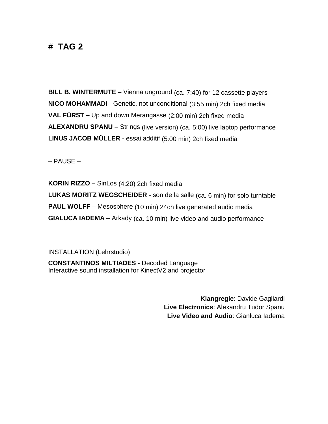### **# TAG 2**

**BILL B. WINTERMUTE** – Vienna unground (ca. 7:40) for 12 cassette players **NICO MOHAMMADI** - Genetic, not unconditional (3:55 min) 2ch fixed media **VAL FÜRST –** Up and down Merangasse (2:00 min) 2ch fixed media **ALEXANDRU SPANU** – Strings (live version) (ca. 5:00) live laptop performance **LINUS JACOB MÜLLER** - essai additif (5:00 min) 2ch fixed media

– PAUSE –

**KORIN RIZZO** – SinLos (4:20) 2ch fixed media **LUKAS MORITZ WEGSCHEIDER** - son de la salle (ca. 6 min) for solo turntable **PAUL WOLFF** – Mesosphere (10 min) 24ch live generated audio media **GIALUCA IADEMA** – Arkady (ca. 10 min) live video and audio performance

INSTALLATION (Lehrstudio)

**CONSTANTINOS MILTIADES** - Decoded Language Interactive sound installation for KinectV2 and projector

> **Klangregie**: Davide Gagliardi **Live Electronics**: Alexandru Tudor Spanu **Live Video and Audio**: Gianluca Iadema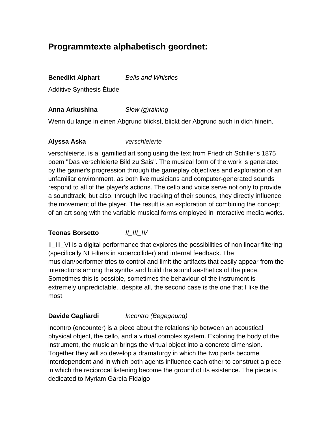## **Programmtexte alphabetisch geordnet:**

#### **Benedikt Alphart** *Bells and Whistles*

Additive Synthesis Étude

#### **Anna Arkushina** *Slow (g)raining*

Wenn du lange in einen Abgrund blickst, blickt der Abgrund auch in dich hinein.

#### **Alyssa Aska** *verschleierte*

verschleierte. is a gamified art song using the text from Friedrich Schiller's 1875 poem "Das verschleierte Bild zu Sais". The musical form of the work is generated by the gamer's progression through the gameplay objectives and exploration of an unfamiliar environment, as both live musicians and computer-generated sounds respond to all of the player's actions. The cello and voice serve not only to provide a soundtrack, but also, through live tracking of their sounds, they directly influence the movement of the player. The result is an exploration of combining the concept of an art song with the variable musical forms employed in interactive media works.

#### **Teonas Borsetto** *II\_III\_IV*

II III VI is a digital performance that explores the possibilities of non linear filtering (specifically NLFilters in supercollider) and internal feedback. The musician/performer tries to control and limit the artifacts that easily appear from the interactions among the synths and build the sound aesthetics of the piece. Sometimes this is possible, sometimes the behaviour of the instrument is extremely unpredictable...despite all, the second case is the one that I like the most.

#### **Davide Gagliardi** *Incontro (Begegnung)*

incontro (encounter) is a piece about the relationship between an acoustical physical object, the cello, and a virtual complex system. Exploring the body of the instrument, the musician brings the virtual object into a concrete dimension. Together they will so develop a dramaturgy in which the two parts become interdependent and in which both agents influence each other to construct a piece in which the reciprocal listening become the ground of its existence. The piece is dedicated to Myriam García Fidalgo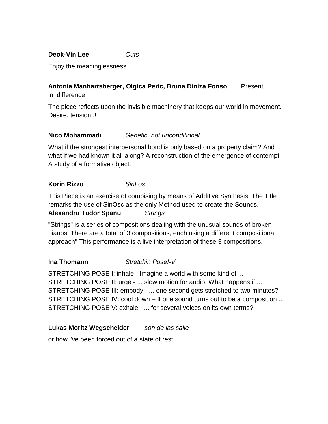**Deok-Vin Lee** *Outs*

Enjoy the meaninglessness

#### **Antonia Manhartsberger, Olgica Peric, Bruna Diniza Fonso** Present in\_difference

The piece reflects upon the invisible machinery that keeps our world in movement. Desire, tension..!

#### **Nico Mohammadi** *Genetic, not unconditional*

What if the strongest interpersonal bond is only based on a property claim? And what if we had known it all along? A reconstruction of the emergence of contempt. A study of a formative object.

#### **Korin Rizzo** *SinLos*

This Piece is an exercise of compising by means of Additive Synthesis. The Title remarks the use of SinOsc as the only Method used to create the Sounds. **Alexandru Tudor Spanu** *Strings*

"Strings" is a series of compositions dealing with the unusual sounds of broken pianos. There are a total of 3 compositions, each using a different compositional approach" This performance is a live interpretation of these 3 compositions.

#### **Ina Thomann** *Stretchin PoseI-V*

STRETCHING POSE I: inhale - Imagine a world with some kind of ... STRETCHING POSE II: urge - ... slow motion for audio. What happens if ... STRETCHING POSE III: embody - ... one second gets stretched to two minutes? STRETCHING POSE IV: cool down – If one sound turns out to be a composition ... STRETCHING POSE V: exhale - ... for several voices on its own terms?

#### **Lukas Moritz Wegscheider** *son de las salle*

or how i've been forced out of a state of rest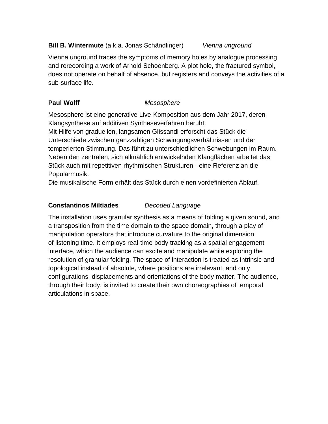#### **Bill B. Wintermute** (a.k.a. Jonas Schändlinger) *Vienna unground*

Vienna unground traces the symptoms of memory holes by analogue processing and rerecording a work of Arnold Schoenberg. A plot hole, the fractured symbol, does not operate on behalf of absence, but registers and conveys the activities of a sub-surface life.

#### **Paul Wolff** *Mesosphere*

Mesosphere ist eine generative Live-Komposition aus dem Jahr 2017, deren Klangsynthese auf additiven Syntheseverfahren beruht.

Mit Hilfe von graduellen, langsamen Glissandi erforscht das Stück die Unterschiede zwischen ganzzahligen Schwingungsverhältnissen und der temperierten Stimmung. Das führt zu unterschiedlichen Schwebungen im Raum. Neben den zentralen, sich allmählich entwickelnden Klangflächen arbeitet das Stück auch mit repetitiven rhythmischen Strukturen - eine Referenz an die Popularmusik.

Die musikalische Form erhält das Stück durch einen vordefinierten Ablauf.

#### **Constantinos Miltiades** *Decoded Language*

The installation uses granular synthesis as a means of folding a given sound, and a transposition from the time domain to the space domain, through a play of manipulation operators that introduce curvature to the original dimension of listening time. It employs real-time body tracking as a spatial engagement interface, which the audience can excite and manipulate while exploring the resolution of granular folding. The space of interaction is treated as intrinsic and topological instead of absolute, where positions are irrelevant, and only configurations, displacements and orientations of the body matter. The audience, through their body, is invited to create their own choreographies of temporal articulations in space.